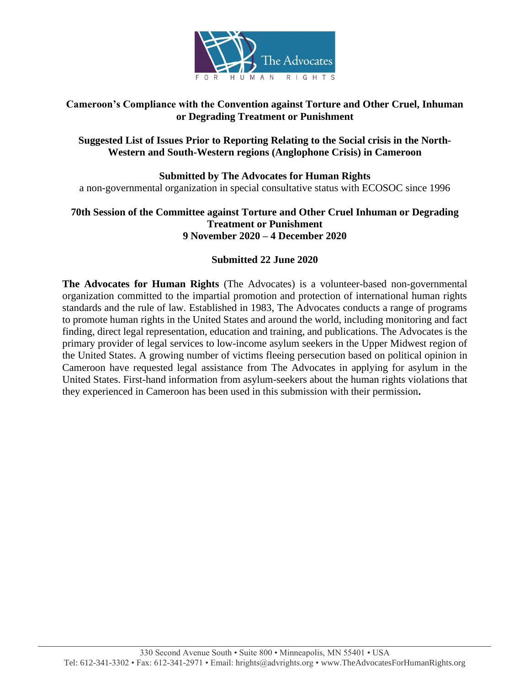

# **Cameroon's Compliance with the Convention against Torture and Other Cruel, Inhuman or Degrading Treatment or Punishment**

# **Suggested List of Issues Prior to Reporting Relating to the Social crisis in the North-Western and South-Western regions (Anglophone Crisis) in Cameroon**

**Submitted by The Advocates for Human Rights** a non-governmental organization in special consultative status with ECOSOC since 1996

# **70th Session of the Committee against Torture and Other Cruel Inhuman or Degrading Treatment or Punishment 9 November 2020 – 4 December 2020**

# **Submitted 22 June 2020**

**The Advocates for Human Rights** (The Advocates) is a volunteer-based non-governmental organization committed to the impartial promotion and protection of international human rights standards and the rule of law. Established in 1983, The Advocates conducts a range of programs to promote human rights in the United States and around the world, including monitoring and fact finding, direct legal representation, education and training, and publications. The Advocates is the primary provider of legal services to low-income asylum seekers in the Upper Midwest region of the United States. A growing number of victims fleeing persecution based on political opinion in Cameroon have requested legal assistance from The Advocates in applying for asylum in the United States. First-hand information from asylum-seekers about the human rights violations that they experienced in Cameroon has been used in this submission with their permission**.**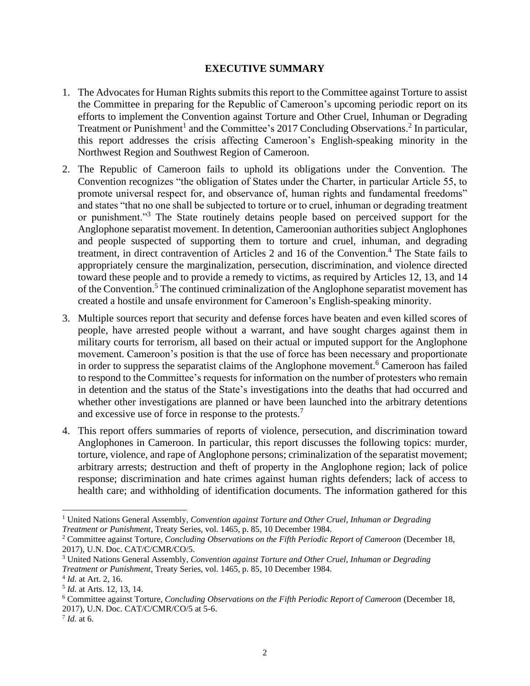#### **EXECUTIVE SUMMARY**

- 1. The Advocates for Human Rights submits this report to the Committee against Torture to assist the Committee in preparing for the Republic of Cameroon's upcoming periodic report on its efforts to implement the Convention against Torture and Other Cruel, Inhuman or Degrading Treatment or Punishment<sup>1</sup> and the Committee's 2017 Concluding Observations.<sup>2</sup> In particular, this report addresses the crisis affecting Cameroon's English-speaking minority in the Northwest Region and Southwest Region of Cameroon.
- 2. The Republic of Cameroon fails to uphold its obligations under the Convention. The Convention recognizes "the obligation of States under the Charter, in particular Article 55, to promote universal respect for, and observance of, human rights and fundamental freedoms" and states "that no one shall be subjected to torture or to cruel, inhuman or degrading treatment or punishment."<sup>3</sup> The State routinely detains people based on perceived support for the Anglophone separatist movement. In detention, Cameroonian authorities subject Anglophones and people suspected of supporting them to torture and cruel, inhuman, and degrading treatment, in direct contravention of Articles 2 and 16 of the Convention.<sup>4</sup> The State fails to appropriately censure the marginalization, persecution, discrimination, and violence directed toward these people and to provide a remedy to victims, as required by Articles 12, 13, and 14 of the Convention. <sup>5</sup> The continued criminalization of the Anglophone separatist movement has created a hostile and unsafe environment for Cameroon's English-speaking minority.
- 3. Multiple sources report that security and defense forces have beaten and even killed scores of people, have arrested people without a warrant, and have sought charges against them in military courts for terrorism, all based on their actual or imputed support for the Anglophone movement. Cameroon's position is that the use of force has been necessary and proportionate in order to suppress the separatist claims of the Anglophone movement.<sup>6</sup> Cameroon has failed to respond to the Committee's requests for information on the number of protesters who remain in detention and the status of the State's investigations into the deaths that had occurred and whether other investigations are planned or have been launched into the arbitrary detentions and excessive use of force in response to the protests.<sup>7</sup>
- 4. This report offers summaries of reports of violence, persecution, and discrimination toward Anglophones in Cameroon. In particular, this report discusses the following topics: murder, torture, violence, and rape of Anglophone persons; criminalization of the separatist movement; arbitrary arrests; destruction and theft of property in the Anglophone region; lack of police response; discrimination and hate crimes against human rights defenders; lack of access to health care; and withholding of identification documents. The information gathered for this

<sup>&</sup>lt;sup>1</sup> United Nations General Assembly, *Convention against Torture and Other Cruel*, Inhuman or Degrading *Treatment or Punishment*, Treaty Series, vol. 1465, p. 85, 10 December 1984.

<sup>2</sup> Committee against Torture, *Concluding Observations on the Fifth Periodic Report of Cameroon* (December 18, 2017), U.N. Doc. CAT/C/CMR/CO/5.

<sup>3</sup> United Nations General Assembly, *Convention against Torture and Other Cruel, Inhuman or Degrading Treatment or Punishment*, Treaty Series, vol. 1465, p. 85, 10 December 1984.

<sup>4</sup> *Id.* at Art. 2, 16.

<sup>5</sup> *Id.* at Arts. 12, 13, 14.

<sup>6</sup> Committee against Torture, *Concluding Observations on the Fifth Periodic Report of Cameroon* (December 18, 2017), U.N. Doc. CAT/C/CMR/CO/5 at 5-6.

<sup>7</sup> *Id.* at 6.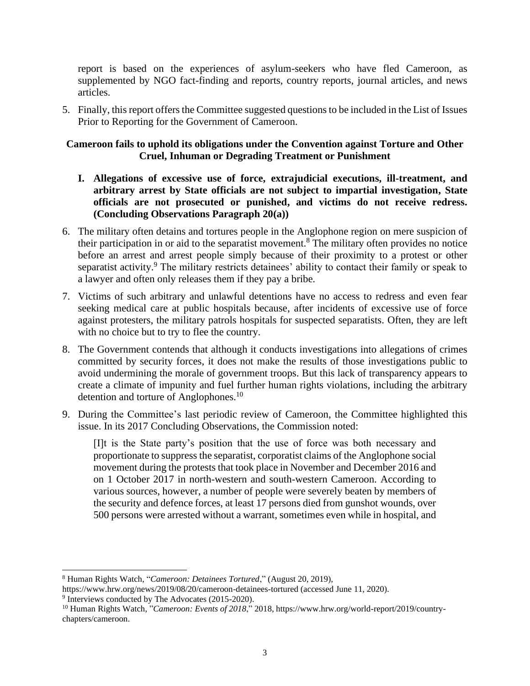report is based on the experiences of asylum-seekers who have fled Cameroon, as supplemented by NGO fact-finding and reports, country reports, journal articles, and news articles.

5. Finally, this report offers the Committee suggested questions to be included in the List of Issues Prior to Reporting for the Government of Cameroon.

## **Cameroon fails to uphold its obligations under the Convention against Torture and Other Cruel, Inhuman or Degrading Treatment or Punishment**

- **I. Allegations of excessive use of force, extrajudicial executions, ill-treatment, and arbitrary arrest by State officials are not subject to impartial investigation, State officials are not prosecuted or punished, and victims do not receive redress. (Concluding Observations Paragraph 20(a))**
- 6. The military often detains and tortures people in the Anglophone region on mere suspicion of their participation in or aid to the separatist movement.<sup>8</sup> The military often provides no notice before an arrest and arrest people simply because of their proximity to a protest or other separatist activity.<sup>9</sup> The military restricts detainees' ability to contact their family or speak to a lawyer and often only releases them if they pay a bribe.
- 7. Victims of such arbitrary and unlawful detentions have no access to redress and even fear seeking medical care at public hospitals because, after incidents of excessive use of force against protesters, the military patrols hospitals for suspected separatists. Often, they are left with no choice but to try to flee the country.
- 8. The Government contends that although it conducts investigations into allegations of crimes committed by security forces, it does not make the results of those investigations public to avoid undermining the morale of government troops. But this lack of transparency appears to create a climate of impunity and fuel further human rights violations, including the arbitrary detention and torture of Anglophones.<sup>10</sup>
- 9. During the Committee's last periodic review of Cameroon, the Committee highlighted this issue. In its 2017 Concluding Observations, the Commission noted:

[I]t is the State party's position that the use of force was both necessary and proportionate to suppress the separatist, corporatist claims of the Anglophone social movement during the protests that took place in November and December 2016 and on 1 October 2017 in north-western and south-western Cameroon. According to various sources, however, a number of people were severely beaten by members of the security and defence forces, at least 17 persons died from gunshot wounds, over 500 persons were arrested without a warrant, sometimes even while in hospital, and

<sup>8</sup> Human Rights Watch, "*Cameroon: Detainees Tortured*," (August 20, 2019),

<https://www.hrw.org/news/2019/08/20/cameroon-detainees-tortured> (accessed June 11, 2020).

<sup>&</sup>lt;sup>9</sup> Interviews conducted by The Advocates (2015-2020).

<sup>10</sup> Human Rights Watch, "*Cameroon: Events of 2018*," 2018, [https://www.hrw.org/world-report/2019/country](https://www.hrw.org/world-report/2019/country-chapters/cameroon)[chapters/cameroon.](https://www.hrw.org/world-report/2019/country-chapters/cameroon)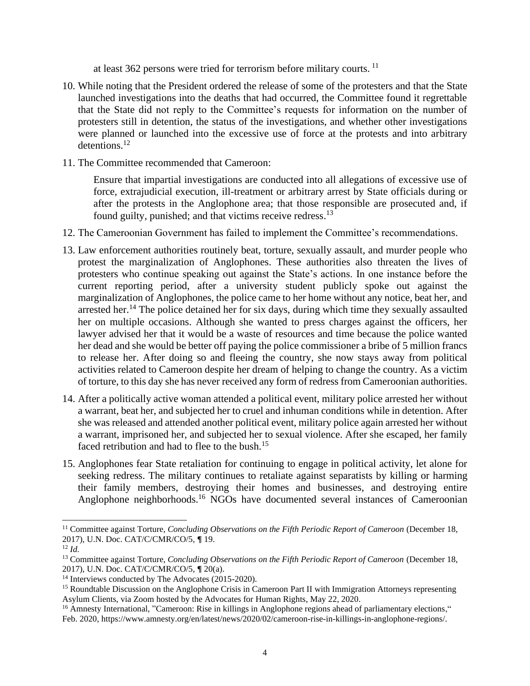at least 362 persons were tried for terrorism before military courts.<sup>11</sup>

- 10. While noting that the President ordered the release of some of the protesters and that the State launched investigations into the deaths that had occurred, the Committee found it regrettable that the State did not reply to the Committee's requests for information on the number of protesters still in detention, the status of the investigations, and whether other investigations were planned or launched into the excessive use of force at the protests and into arbitrary detentions.<sup>12</sup>
- 11. The Committee recommended that Cameroon:

Ensure that impartial investigations are conducted into all allegations of excessive use of force, extrajudicial execution, ill-treatment or arbitrary arrest by State officials during or after the protests in the Anglophone area; that those responsible are prosecuted and, if found guilty, punished; and that victims receive redress.<sup>13</sup>

- 12. The Cameroonian Government has failed to implement the Committee's recommendations.
- 13. Law enforcement authorities routinely beat, torture, sexually assault, and murder people who protest the marginalization of Anglophones. These authorities also threaten the lives of protesters who continue speaking out against the State's actions. In one instance before the current reporting period, after a university student publicly spoke out against the marginalization of Anglophones, the police came to her home without any notice, beat her, and arrested her.<sup>14</sup> The police detained her for six days, during which time they sexually assaulted her on multiple occasions. Although she wanted to press charges against the officers, her lawyer advised her that it would be a waste of resources and time because the police wanted her dead and she would be better off paying the police commissioner a bribe of 5 million francs to release her. After doing so and fleeing the country, she now stays away from political activities related to Cameroon despite her dream of helping to change the country. As a victim of torture, to this day she has never received any form of redress from Cameroonian authorities.
- 14. After a politically active woman attended a political event, military police arrested her without a warrant, beat her, and subjected her to cruel and inhuman conditions while in detention. After she was released and attended another political event, military police again arrested her without a warrant, imprisoned her, and subjected her to sexual violence. After she escaped, her family faced retribution and had to flee to the bush.<sup>15</sup>
- 15. Anglophones fear State retaliation for continuing to engage in political activity, let alone for seeking redress. The military continues to retaliate against separatists by killing or harming their family members, destroying their homes and businesses, and destroying entire Anglophone neighborhoods.<sup>16</sup> NGOs have documented several instances of Cameroonian

<sup>&</sup>lt;sup>11</sup> Committee against Torture, *Concluding Observations on the Fifth Periodic Report of Cameroon* (December 18, 2017), U.N. Doc. CAT/C/CMR/CO/5, **¶** 19.

<sup>12</sup> *Id.*

<sup>13</sup> Committee against Torture, *Concluding Observations on the Fifth Periodic Report of Cameroon* (December 18, 2017), U.N. Doc. CAT/C/CMR/CO/5, **¶** 20(a).

<sup>&</sup>lt;sup>14</sup> Interviews conducted by The Advocates (2015-2020).

<sup>&</sup>lt;sup>15</sup> Roundtable Discussion on the Anglophone Crisis in Cameroon Part II with Immigration Attorneys representing Asylum Clients, via Zoom hosted by the Advocates for Human Rights, May 22, 2020.

<sup>&</sup>lt;sup>16</sup> Amnesty International, "Cameroon: Rise in killings in Anglophone regions ahead of parliamentary elections," Feb. 2020, [https://www.amnesty.org/en/latest/news/2020/02/cameroon-rise-in-killings-in-anglophone-regions/.](https://www.amnesty.org/en/latest/news/2020/02/cameroon-rise-in-killings-in-anglophone-regions/)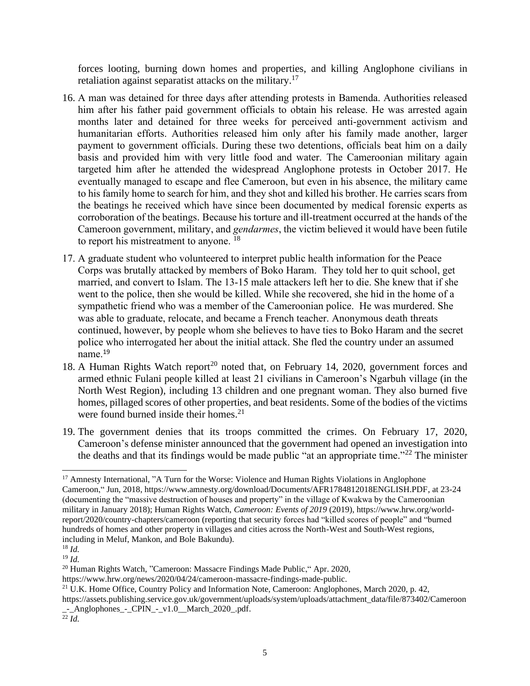forces looting, burning down homes and properties, and killing Anglophone civilians in retaliation against separatist attacks on the military.<sup>17</sup>

- 16. A man was detained for three days after attending protests in Bamenda. Authorities released him after his father paid government officials to obtain his release. He was arrested again months later and detained for three weeks for perceived anti-government activism and humanitarian efforts. Authorities released him only after his family made another, larger payment to government officials. During these two detentions, officials beat him on a daily basis and provided him with very little food and water. The Cameroonian military again targeted him after he attended the widespread Anglophone protests in October 2017. He eventually managed to escape and flee Cameroon, but even in his absence, the military came to his family home to search for him, and they shot and killed his brother. He carries scars from the beatings he received which have since been documented by medical forensic experts as corroboration of the beatings. Because his torture and ill-treatment occurred at the hands of the Cameroon government, military, and *gendarmes*, the victim believed it would have been futile to report his mistreatment to anyone.<sup>18</sup>
- 17. A graduate student who volunteered to interpret public health information for the Peace Corps was brutally attacked by members of Boko Haram. They told her to quit school, get married, and convert to Islam. The 13-15 male attackers left her to die. She knew that if she went to the police, then she would be killed. While she recovered, she hid in the home of a sympathetic friend who was a member of the Cameroonian police. He was murdered. She was able to graduate, relocate, and became a French teacher. Anonymous death threats continued, however, by people whom she believes to have ties to Boko Haram and the secret police who interrogated her about the initial attack. She fled the country under an assumed name.<sup>19</sup>
- 18. A Human Rights Watch report<sup>20</sup> noted that, on February 14, 2020, government forces and armed ethnic Fulani people killed at least 21 civilians in Cameroon's Ngarbuh village (in the North West Region), including 13 children and one pregnant woman. They also burned five homes, pillaged scores of other properties, and beat residents. Some of the bodies of the victims were found burned inside their homes. $21$
- 19. The government denies that its troops committed the crimes. On February 17, 2020, Cameroon's defense minister announced that the government had opened an investigation into the deaths and that its findings would be made public "at an appropriate time."<sup>22</sup> The minister

<sup>20</sup> Human Rights Watch, "Cameroon: Massacre Findings Made Public," Apr. 2020,

<sup>21</sup> U.K. Home Office, Country Policy and Information Note, Cameroon: Anglophones, March 2020, p. 42,

<sup>&</sup>lt;sup>17</sup> Amnesty International, "A Turn for the Worse: Violence and Human Rights Violations in Anglophone Cameroon," Jun, 2018, [https://www.amnesty.org/download/Documents/AFR1784812018ENGLISH.PDF,](https://www.amnesty.org/download/Documents/AFR1784812018ENGLISH.PDF) at 23-24 (documenting the "massive destruction of houses and property" in the village of Kwakwa by the Cameroonian military in January 2018); Human Rights Watch, *Cameroon: Events of 2019* (2019), [https://www.hrw.org/world](https://www.hrw.org/world-report/2020/country-chapters/cameroon)[report/2020/country-chapters/cameroon](https://www.hrw.org/world-report/2020/country-chapters/cameroon) (reporting that security forces had "killed scores of people" and "burned hundreds of homes and other property in villages and cities across the North-West and South-West regions, including in Meluf, Mankon, and Bole Bakundu).

<sup>18</sup> *Id.*

<sup>19</sup> *Id.*

https://www.hrw.org/news/2020/04/24/cameroon-massacre-findings-made-public.

[https://assets.publishing.service.gov.uk/government/uploads/system/uploads/attachment\\_data/file/873402/Cameroon](https://assets.publishing.service.gov.uk/government/uploads/system/uploads/attachment_data/file/873402/Cameroon_-_Anglophones_-_CPIN_-_v1.0__March_2020_.pdf) [\\_-\\_Anglophones\\_-\\_CPIN\\_-\\_v1.0\\_\\_March\\_2020\\_.pdf.](https://assets.publishing.service.gov.uk/government/uploads/system/uploads/attachment_data/file/873402/Cameroon_-_Anglophones_-_CPIN_-_v1.0__March_2020_.pdf)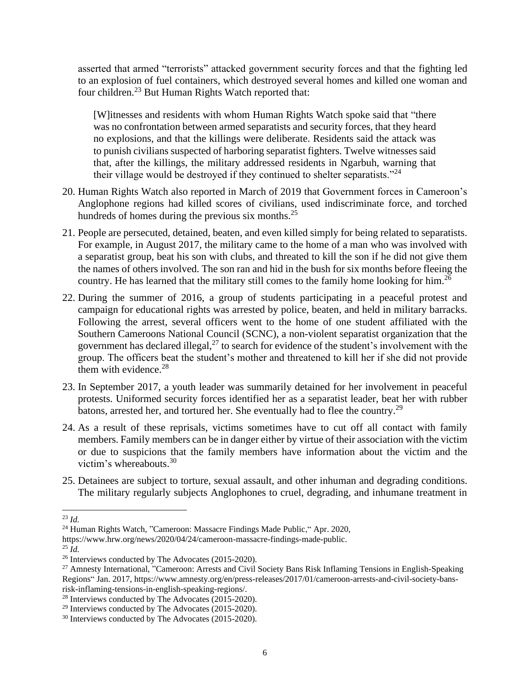asserted that armed "terrorists" attacked government security forces and that the fighting led to an explosion of fuel containers, which destroyed several homes and killed one woman and four children.<sup>23</sup> But Human Rights Watch reported that:

[W]itnesses and residents with whom Human Rights Watch spoke said that "there was no confrontation between armed separatists and security forces, that they heard no explosions, and that the killings were deliberate. Residents said the attack was to punish civilians suspected of harboring separatist fighters. Twelve witnesses said that, after the killings, the military addressed residents in Ngarbuh, warning that their village would be destroyed if they continued to shelter separatists."<sup>24</sup>

- 20. Human Rights Watch also reported in March of 2019 that Government forces in Cameroon's Anglophone regions had killed scores of civilians, used indiscriminate force, and torched hundreds of homes during the previous six months. $^{25}$
- 21. People are persecuted, detained, beaten, and even killed simply for being related to separatists. For example, in August 2017, the military came to the home of a man who was involved with a separatist group, beat his son with clubs, and threated to kill the son if he did not give them the names of others involved. The son ran and hid in the bush for six months before fleeing the country. He has learned that the military still comes to the family home looking for him.<sup>26</sup>
- 22. During the summer of 2016, a group of students participating in a peaceful protest and campaign for educational rights was arrested by police, beaten, and held in military barracks. Following the arrest, several officers went to the home of one student affiliated with the Southern Cameroons National Council (SCNC), a non-violent separatist organization that the government has declared illegal, $^{27}$  to search for evidence of the student's involvement with the group. The officers beat the student's mother and threatened to kill her if she did not provide them with evidence. $28$
- 23. In September 2017, a youth leader was summarily detained for her involvement in peaceful protests. Uniformed security forces identified her as a separatist leader, beat her with rubber batons, arrested her, and tortured her. She eventually had to flee the country.<sup>29</sup>
- 24. As a result of these reprisals, victims sometimes have to cut off all contact with family members. Family members can be in danger either by virtue of their association with the victim or due to suspicions that the family members have information about the victim and the victim's whereabouts. 30
- 25. Detainees are subject to torture, sexual assault, and other inhuman and degrading conditions. The military regularly subjects Anglophones to cruel, degrading, and inhumane treatment in

 $^{25}$  *Id.* 

<sup>23</sup> *Id.*

<sup>&</sup>lt;sup>24</sup> Human Rights Watch, "Cameroon: Massacre Findings Made Public," Apr. 2020,

https://www.hrw.org/news/2020/04/24/cameroon-massacre-findings-made-public.

<sup>&</sup>lt;sup>26</sup> Interviews conducted by The Advocates (2015-2020).

<sup>&</sup>lt;sup>27</sup> Amnesty International, "Cameroon: Arrests and Civil Society Bans Risk Inflaming Tensions in English-Speaking Regions" Jan. 2017, [https://www.amnesty.org/en/press-releases/2017/01/cameroon-arrests-and-civil-society-bans](https://www.amnesty.org/en/press-releases/2017/01/cameroon-arrests-and-civil-society-bans-risk-inflaming-tensions-in-english-speaking-regions/)[risk-inflaming-tensions-in-english-speaking-regions/.](https://www.amnesty.org/en/press-releases/2017/01/cameroon-arrests-and-civil-society-bans-risk-inflaming-tensions-in-english-speaking-regions/)

<sup>28</sup> Interviews conducted by The Advocates (2015-2020).

<sup>&</sup>lt;sup>29</sup> Interviews conducted by The Advocates (2015-2020).

<sup>30</sup> Interviews conducted by The Advocates (2015-2020).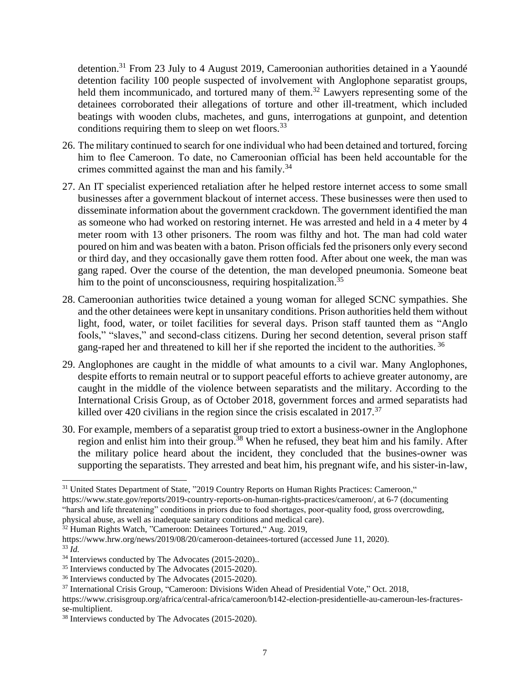detention.<sup>31</sup> From 23 July to 4 August 2019, Cameroonian authorities detained in a Yaoundé detention facility 100 people suspected of involvement with Anglophone separatist groups, held them incommunicado, and tortured many of them.<sup>32</sup> Lawyers representing some of the detainees corroborated their allegations of torture and other ill-treatment, which included beatings with wooden clubs, machetes, and guns, interrogations at gunpoint, and detention conditions requiring them to sleep on wet floors.<sup>33</sup>

- 26. The military continued to search for one individual who had been detained and tortured, forcing him to flee Cameroon. To date, no Cameroonian official has been held accountable for the crimes committed against the man and his family.<sup>34</sup>
- 27. An IT specialist experienced retaliation after he helped restore internet access to some small businesses after a government blackout of internet access. These businesses were then used to disseminate information about the government crackdown. The government identified the man as someone who had worked on restoring internet. He was arrested and held in a 4 meter by 4 meter room with 13 other prisoners. The room was filthy and hot. The man had cold water poured on him and was beaten with a baton. Prison officials fed the prisoners only every second or third day, and they occasionally gave them rotten food. After about one week, the man was gang raped. Over the course of the detention, the man developed pneumonia. Someone beat him to the point of unconsciousness, requiring hospitalization.<sup>35</sup>
- 28. Cameroonian authorities twice detained a young woman for alleged SCNC sympathies. She and the other detainees were kept in unsanitary conditions. Prison authorities held them without light, food, water, or toilet facilities for several days. Prison staff taunted them as "Anglo fools," "slaves," and second-class citizens. During her second detention, several prison staff gang-raped her and threatened to kill her if she reported the incident to the authorities. <sup>36</sup>
- 29. Anglophones are caught in the middle of what amounts to a civil war. Many Anglophones, despite efforts to remain neutral or to support peaceful efforts to achieve greater autonomy, are caught in the middle of the violence between separatists and the military. According to the International Crisis Group, as of October 2018, government forces and armed separatists had killed over 420 civilians in the region since the crisis escalated in  $2017$ <sup>37</sup>
- 30. For example, members of a separatist group tried to extort a business-owner in the Anglophone region and enlist him into their group.<sup>38</sup> When he refused, they beat him and his family. After the military police heard about the incident, they concluded that the busines-owner was supporting the separatists. They arrested and beat him, his pregnant wife, and his sister-in-law,

<sup>33</sup> *Id.*

<sup>&</sup>lt;sup>31</sup> United States Department of State, "2019 Country Reports on Human Rights Practices: Cameroon,"

[https://www.state.gov/reports/2019-country-reports-on-human-rights-practices/cameroon/,](https://www.state.gov/reports/2019-country-reports-on-human-rights-practices/cameroon/) at 6-7 (documenting "harsh and life threatening" conditions in priors due to food shortages, poor-quality food, gross overcrowding, physical abuse, as well as inadequate sanitary conditions and medical care).

<sup>32</sup> Human Rights Watch, "Cameroon: Detainees Tortured," Aug. 2019,

<https://www.hrw.org/news/2019/08/20/cameroon-detainees-tortured> (accessed June 11, 2020).

<sup>&</sup>lt;sup>34</sup> Interviews conducted by The Advocates (2015-2020)..

<sup>35</sup> Interviews conducted by The Advocates (2015-2020).

<sup>36</sup> Interviews conducted by The Advocates (2015-2020).

<sup>37</sup> International Crisis Group, "Cameroon: Divisions Widen Ahead of Presidential Vote," Oct. 2018,

https://www.crisisgroup.org/africa/central-africa/cameroon/b142-election-presidentielle-au-cameroun-les-fracturesse-multiplient.

<sup>38</sup> Interviews conducted by The Advocates (2015-2020).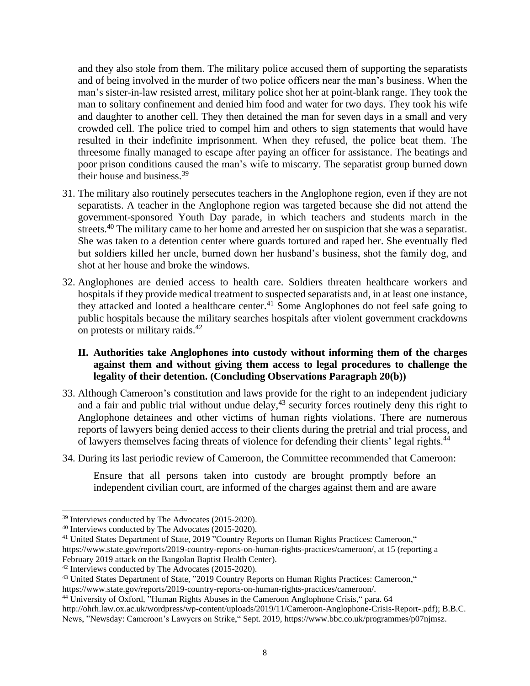and they also stole from them. The military police accused them of supporting the separatists and of being involved in the murder of two police officers near the man's business. When the man's sister-in-law resisted arrest, military police shot her at point-blank range. They took the man to solitary confinement and denied him food and water for two days. They took his wife and daughter to another cell. They then detained the man for seven days in a small and very crowded cell. The police tried to compel him and others to sign statements that would have resulted in their indefinite imprisonment. When they refused, the police beat them. The threesome finally managed to escape after paying an officer for assistance. The beatings and poor prison conditions caused the man's wife to miscarry. The separatist group burned down their house and business.<sup>39</sup>

- 31. The military also routinely persecutes teachers in the Anglophone region, even if they are not separatists. A teacher in the Anglophone region was targeted because she did not attend the government-sponsored Youth Day parade, in which teachers and students march in the streets.<sup>40</sup> The military came to her home and arrested her on suspicion that she was a separatist. She was taken to a detention center where guards tortured and raped her. She eventually fled but soldiers killed her uncle, burned down her husband's business, shot the family dog, and shot at her house and broke the windows.
- 32. Anglophones are denied access to health care. Soldiers threaten healthcare workers and hospitals if they provide medical treatment to suspected separatists and, in at least one instance, they attacked and looted a healthcare center.<sup>41</sup> Some Anglophones do not feel safe going to public hospitals because the military searches hospitals after violent government crackdowns on protests or military raids.<sup>42</sup>

## **II. Authorities take Anglophones into custody without informing them of the charges against them and without giving them access to legal procedures to challenge the legality of their detention. (Concluding Observations Paragraph 20(b))**

- 33. Although Cameroon's constitution and laws provide for the right to an independent judiciary and a fair and public trial without undue delay, $43$  security forces routinely deny this right to Anglophone detainees and other victims of human rights violations. There are numerous reports of lawyers being denied access to their clients during the pretrial and trial process, and of lawyers themselves facing threats of violence for defending their clients' legal rights.<sup>44</sup>
- 34. During its last periodic review of Cameroon, the Committee recommended that Cameroon:

Ensure that all persons taken into custody are brought promptly before an independent civilian court, are informed of the charges against them and are aware

<sup>39</sup> Interviews conducted by The Advocates (2015-2020).

<sup>40</sup> Interviews conducted by The Advocates (2015-2020).

<sup>&</sup>lt;sup>41</sup> United States Department of State, 2019 "Country Reports on Human Rights Practices: Cameroon," [https://www.state.gov/reports/2019-country-reports-on-human-rights-practices/cameroon/,](https://www.state.gov/reports/2019-country-reports-on-human-rights-practices/cameroon/) at 15 (reporting a February 2019 attack on the Bangolan Baptist Health Center).

<sup>42</sup> Interviews conducted by The Advocates (2015-2020).

<sup>43</sup> United States Department of State, "2019 Country Reports on Human Rights Practices: Cameroon,"

[https://www.state.gov/reports/2019-country-reports-on-human-rights-practices/cameroon/.](https://www.state.gov/reports/2019-country-reports-on-human-rights-practices/cameroon/)

<sup>&</sup>lt;sup>44</sup> University of Oxford, "Human Rights Abuses in the Cameroon Anglophone Crisis," para. 64 [http://ohrh.law.ox.ac.uk/wordpress/wp-content/uploads/2019/11/Cameroon-Anglophone-Crisis-Report-.pdf\)](http://ohrh.law.ox.ac.uk/wordpress/wp-content/uploads/2019/11/Cameroon-Anglophone-Crisis-Report-.pdf); B.B.C. News, "Newsday: Cameroon's Lawyers on Strike," Sept. 2019, [https://www.bbc.co.uk/programmes/p07njmsz.](https://www.bbc.co.uk/programmes/p07njmsz)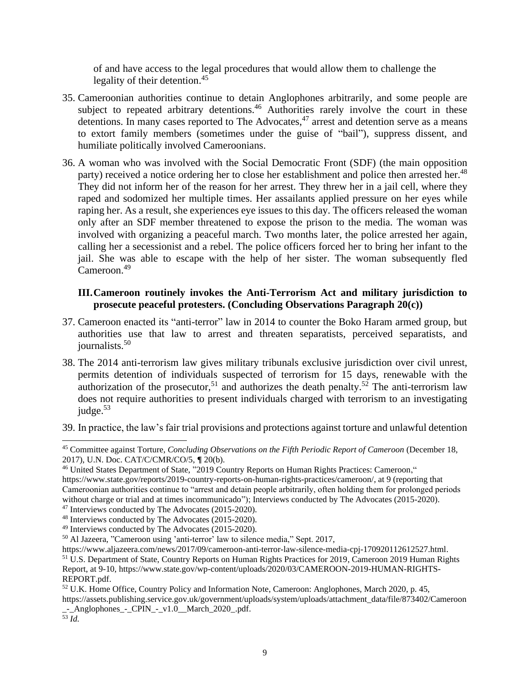of and have access to the legal procedures that would allow them to challenge the legality of their detention.<sup>45</sup>

- 35. Cameroonian authorities continue to detain Anglophones arbitrarily, and some people are subject to repeated arbitrary detentions.<sup>46</sup> Authorities rarely involve the court in these detentions. In many cases reported to The Advocates,<sup>47</sup> arrest and detention serve as a means to extort family members (sometimes under the guise of "bail"), suppress dissent, and humiliate politically involved Cameroonians.
- 36. A woman who was involved with the Social Democratic Front (SDF) (the main opposition party) received a notice ordering her to close her establishment and police then arrested her.<sup>48</sup> They did not inform her of the reason for her arrest. They threw her in a jail cell, where they raped and sodomized her multiple times. Her assailants applied pressure on her eyes while raping her. As a result, she experiences eye issues to this day. The officers released the woman only after an SDF member threatened to expose the prison to the media. The woman was involved with organizing a peaceful march. Two months later, the police arrested her again, calling her a secessionist and a rebel. The police officers forced her to bring her infant to the jail. She was able to escape with the help of her sister. The woman subsequently fled Cameroon.<sup>49</sup>

## **III.Cameroon routinely invokes the Anti-Terrorism Act and military jurisdiction to prosecute peaceful protesters. (Concluding Observations Paragraph 20(c))**

- 37. Cameroon enacted its "anti-terror" law in 2014 to counter the Boko Haram armed group, but authorities use that law to arrest and threaten separatists, perceived separatists, and journalists.<sup>50</sup>
- 38. The 2014 anti-terrorism law gives military tribunals exclusive jurisdiction over civil unrest, permits detention of individuals suspected of terrorism for 15 days, renewable with the authorization of the prosecutor,<sup>51</sup> and authorizes the death penalty.<sup>52</sup> The anti-terrorism law does not require authorities to present individuals charged with terrorism to an investigating  $jude.$ <sup>53</sup>

39. In practice, the law's fair trial provisions and protections against torture and unlawful detention

<sup>45</sup> Committee against Torture, *Concluding Observations on the Fifth Periodic Report of Cameroon* (December 18, 2017), U.N. Doc. CAT/C/CMR/CO/5, **¶** 20(b).

<sup>46</sup> United States Department of State, "2019 Country Reports on Human Rights Practices: Cameroon,"

[https://www.state.gov/reports/2019-country-reports-on-human-rights-practices/cameroon/,](https://www.state.gov/reports/2019-country-reports-on-human-rights-practices/cameroon/) at 9 (reporting that Cameroonian authorities continue to "arrest and detain people arbitrarily, often holding them for prolonged periods without charge or trial and at times incommunicado"); Interviews conducted by The Advocates (2015-2020).

<sup>47</sup> Interviews conducted by The Advocates (2015-2020).

<sup>48</sup> Interviews conducted by The Advocates (2015-2020).

<sup>49</sup> Interviews conducted by The Advocates (2015-2020).

<sup>50</sup> Al Jazeera, "Cameroon using 'anti-terror' law to silence media," Sept. 2017,

[https://www.aljazeera.com/news/2017/09/cameroon-anti-terror-law-silence-media-cpj-170920112612527.html.](https://www.aljazeera.com/news/2017/09/cameroon-anti-terror-law-silence-media-cpj-170920112612527.html) <sup>51</sup> U.S. Department of State, Country Reports on Human Rights Practices for 2019, Cameroon 2019 Human Rights Report, at 9-10, https://www.state.gov/wp-content/uploads/2020/03/CAMEROON-2019-HUMAN-RIGHTS-REPORT.pdf.

<sup>&</sup>lt;sup>52</sup> U.K. Home Office, Country Policy and Information Note, Cameroon: Anglophones, March 2020, p. 45,

[https://assets.publishing.service.gov.uk/government/uploads/system/uploads/attachment\\_data/file/873402/Cameroon](https://assets.publishing.service.gov.uk/government/uploads/system/uploads/attachment_data/file/873402/Cameroon_-_Anglophones_-_CPIN_-_v1.0__March_2020_.pdf) [\\_-\\_Anglophones\\_-\\_CPIN\\_-\\_v1.0\\_\\_March\\_2020\\_.pdf.](https://assets.publishing.service.gov.uk/government/uploads/system/uploads/attachment_data/file/873402/Cameroon_-_Anglophones_-_CPIN_-_v1.0__March_2020_.pdf)

<sup>53</sup> *Id.*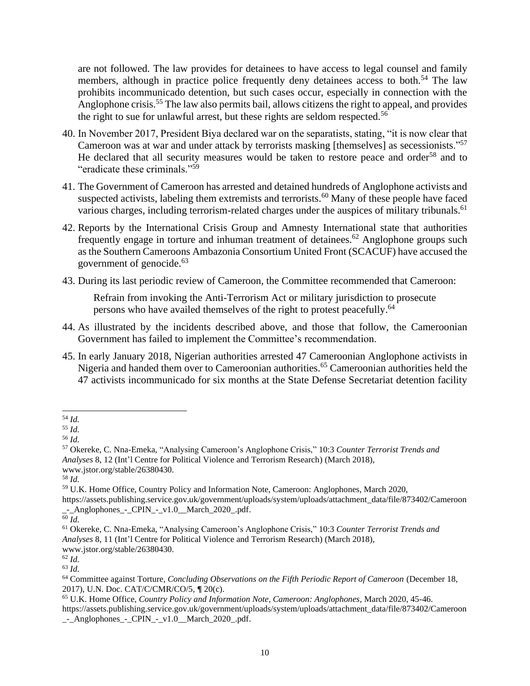are not followed. The law provides for detainees to have access to legal counsel and family members, although in practice police frequently deny detainees access to both.<sup>54</sup> The law prohibits incommunicado detention, but such cases occur, especially in connection with the Anglophone crisis.<sup>55</sup> The law also permits bail, allows citizens the right to appeal, and provides the right to sue for unlawful arrest, but these rights are seldom respected.<sup>56</sup>

- 40. In November 2017, President Biya declared war on the separatists, stating, "it is now clear that Cameroon was at war and under attack by terrorists masking [themselves] as secessionists."<sup>57</sup> He declared that all security measures would be taken to restore peace and order<sup>58</sup> and to "eradicate these criminals."<sup>59</sup>
- 41. The Government of Cameroon has arrested and detained hundreds of Anglophone activists and suspected activists, labeling them extremists and terrorists.<sup>60</sup> Many of these people have faced various charges, including terrorism-related charges under the auspices of military tribunals.<sup>61</sup>
- 42. Reports by the International Crisis Group and Amnesty International state that authorities frequently engage in torture and inhuman treatment of detainees.<sup>62</sup> Anglophone groups such as the Southern Cameroons Ambazonia Consortium United Front (SCACUF) have accused the government of genocide.<sup>63</sup>
- 43. During its last periodic review of Cameroon, the Committee recommended that Cameroon:

Refrain from invoking the Anti-Terrorism Act or military jurisdiction to prosecute persons who have availed themselves of the right to protest peacefully.<sup>64</sup>

- 44. As illustrated by the incidents described above, and those that follow, the Cameroonian Government has failed to implement the Committee's recommendation.
- 45. In early January 2018, Nigerian authorities arrested 47 Cameroonian Anglophone activists in Nigeria and handed them over to Cameroonian authorities.<sup>65</sup> Cameroonian authorities held the 47 activists incommunicado for six months at the State Defense Secretariat detention facility

[https://assets.publishing.service.gov.uk/government/uploads/system/uploads/attachment\\_data/file/873402/Cameroon](https://assets.publishing.service.gov.uk/government/uploads/system/uploads/attachment_data/file/873402/Cameroon_-_Anglophones_-_CPIN_-_v1.0__March_2020_.pdf) [\\_-\\_Anglophones\\_-\\_CPIN\\_-\\_v1.0\\_\\_March\\_2020\\_.pdf.](https://assets.publishing.service.gov.uk/government/uploads/system/uploads/attachment_data/file/873402/Cameroon_-_Anglophones_-_CPIN_-_v1.0__March_2020_.pdf)

<sup>54</sup> *Id.*

<sup>55</sup> *Id.*

<sup>56</sup> *Id.*

<sup>57</sup> Okereke, C. Nna-Emeka, "Analysing Cameroon's Anglophone Crisis," 10:3 *Counter Terrorist Trends and Analyses* 8, 12 (Int'l Centre for Political Violence and Terrorism Research) (March 2018), www.jstor.org/stable/26380430.

<sup>58</sup> *Id.*

<sup>59</sup> U.K. Home Office, Country Policy and Information Note, Cameroon: Anglophones, March 2020,

<sup>60</sup> *Id.*

<sup>61</sup> Okereke, C. Nna-Emeka, "Analysing Cameroon's Anglophone Crisis," 10:3 *Counter Terrorist Trends and Analyses* 8, 11 (Int'l Centre for Political Violence and Terrorism Research) (March 2018), www.jstor.org/stable/26380430.

<sup>62</sup> *Id.*

<sup>63</sup> *Id.*

<sup>64</sup> Committee against Torture, *Concluding Observations on the Fifth Periodic Report of Cameroon* (December 18, 2017), U.N. Doc. CAT/C/CMR/CO/5, **¶** 20(c).

<sup>65</sup> U.K. Home Office, *Country Policy and Information Note, Cameroon: Anglophones*, March 2020, 45-46. [https://assets.publishing.service.gov.uk/government/uploads/system/uploads/attachment\\_data/file/873402/Cameroon](https://assets.publishing.service.gov.uk/government/uploads/system/uploads/attachment_data/file/873402/Cameroon_-_Anglophones_-_CPIN_-_v1.0__March_2020_.pdf) [\\_-\\_Anglophones\\_-\\_CPIN\\_-\\_v1.0\\_\\_March\\_2020\\_.pdf.](https://assets.publishing.service.gov.uk/government/uploads/system/uploads/attachment_data/file/873402/Cameroon_-_Anglophones_-_CPIN_-_v1.0__March_2020_.pdf)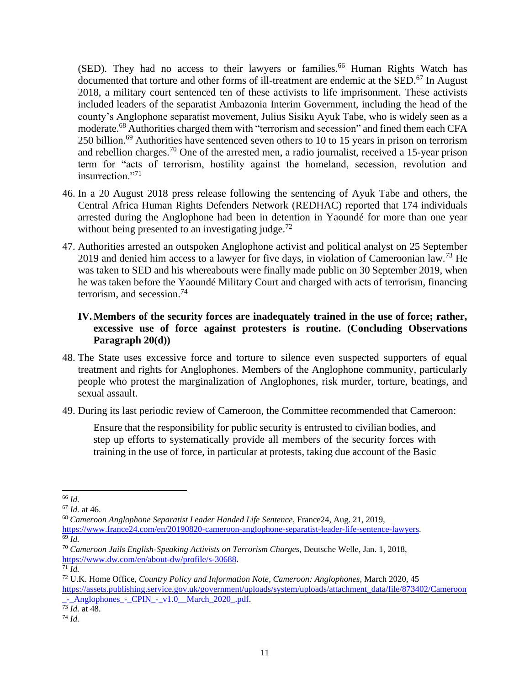(SED). They had no access to their lawyers or families.<sup>66</sup> Human Rights Watch has documented that torture and other forms of ill-treatment are endemic at the SED.<sup>67</sup> In August 2018, a military court sentenced ten of these activists to life imprisonment. These activists included leaders of the separatist Ambazonia Interim Government, including the head of the county's Anglophone separatist movement, Julius Sisiku Ayuk Tabe, who is widely seen as a moderate.<sup>68</sup> Authorities charged them with "terrorism and secession" and fined them each CFA 250 billion.<sup>69</sup> Authorities have sentenced seven others to 10 to 15 years in prison on terrorism and rebellion charges.<sup>70</sup> One of the arrested men, a radio journalist, received a 15-year prison term for "acts of terrorism, hostility against the homeland, secession, revolution and insurrection."<sup>71</sup>

- 46. In a 20 August 2018 press release following the sentencing of Ayuk Tabe and others, the Central Africa Human Rights Defenders Network (REDHAC) reported that 174 individuals arrested during the Anglophone had been in detention in Yaoundé for more than one year without being presented to an investigating judge.<sup>72</sup>
- 47. Authorities arrested an outspoken Anglophone activist and political analyst on 25 September 2019 and denied him access to a lawyer for five days, in violation of Cameroonian law.<sup>73</sup> He was taken to SED and his whereabouts were finally made public on 30 September 2019, when he was taken before the Yaoundé Military Court and charged with acts of terrorism, financing terrorism, and secession.<sup>74</sup>

# **IV.Members of the security forces are inadequately trained in the use of force; rather, excessive use of force against protesters is routine. (Concluding Observations Paragraph 20(d))**

- 48. The State uses excessive force and torture to silence even suspected supporters of equal treatment and rights for Anglophones. Members of the Anglophone community, particularly people who protest the marginalization of Anglophones, risk murder, torture, beatings, and sexual assault.
- 49. During its last periodic review of Cameroon, the Committee recommended that Cameroon:

Ensure that the responsibility for public security is entrusted to civilian bodies, and step up efforts to systematically provide all members of the security forces with training in the use of force, in particular at protests, taking due account of the Basic

[https://www.france24.com/en/20190820-cameroon-anglophone-separatist-leader-life-sentence-lawyers.](https://www.france24.com/en/20190820-cameroon-anglophone-separatist-leader-life-sentence-lawyers) <sup>69</sup> *Id.*

<sup>72</sup> U.K. Home Office, *Country Policy and Information Note, Cameroon: Anglophones*, March 2020, 45 [https://assets.publishing.service.gov.uk/government/uploads/system/uploads/attachment\\_data/file/873402/Cameroon](https://assets.publishing.service.gov.uk/government/uploads/system/uploads/attachment_data/file/873402/Cameroon_-_Anglophones_-_CPIN_-_v1.0__March_2020_.pdf)  $\frac{1}{2}$  Anglophones - CPIN - v1.0 March 2020 .pdf.

<sup>66</sup> *Id.*

<sup>67</sup> *Id.* at 46.

<sup>68</sup> *Cameroon Anglophone Separatist Leader Handed Life Sentence*, France24, Aug. 21, 2019,

<sup>70</sup> *Cameroon Jails English-Speaking Activists on Terrorism Charges*, Deutsche Welle, Jan. 1, 2018, [https://www.dw.com/en/about-dw/profile/s-30688.](https://www.dw.com/en/about-dw/profile/s-30688)

 $\overline{7}$ <sup>1</sup> *Id.* 

<sup>73</sup> *Id.* at 48.

<sup>74</sup> *Id.*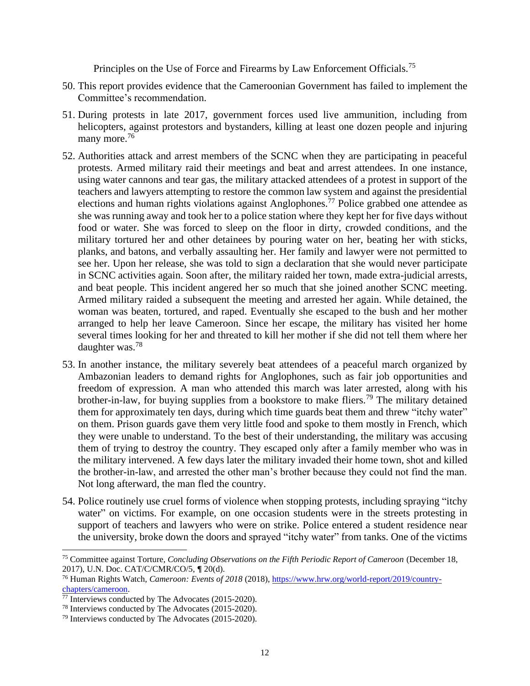Principles on the Use of Force and Firearms by Law Enforcement Officials.<sup>75</sup>

- 50. This report provides evidence that the Cameroonian Government has failed to implement the Committee's recommendation.
- 51. During protests in late 2017, government forces used live ammunition, including from helicopters, against protestors and bystanders, killing at least one dozen people and injuring many more.<sup>76</sup>
- 52. Authorities attack and arrest members of the SCNC when they are participating in peaceful protests. Armed military raid their meetings and beat and arrest attendees. In one instance, using water cannons and tear gas, the military attacked attendees of a protest in support of the teachers and lawyers attempting to restore the common law system and against the presidential elections and human rights violations against Anglophones.<sup>77</sup> Police grabbed one attendee as she was running away and took her to a police station where they kept her for five days without food or water. She was forced to sleep on the floor in dirty, crowded conditions, and the military tortured her and other detainees by pouring water on her, beating her with sticks, planks, and batons, and verbally assaulting her. Her family and lawyer were not permitted to see her. Upon her release, she was told to sign a declaration that she would never participate in SCNC activities again. Soon after, the military raided her town, made extra-judicial arrests, and beat people. This incident angered her so much that she joined another SCNC meeting. Armed military raided a subsequent the meeting and arrested her again. While detained, the woman was beaten, tortured, and raped. Eventually she escaped to the bush and her mother arranged to help her leave Cameroon. Since her escape, the military has visited her home several times looking for her and threated to kill her mother if she did not tell them where her daughter was.<sup>78</sup>
- 53. In another instance, the military severely beat attendees of a peaceful march organized by Ambazonian leaders to demand rights for Anglophones, such as fair job opportunities and freedom of expression. A man who attended this march was later arrested, along with his brother-in-law, for buying supplies from a bookstore to make fliers.<sup>79</sup> The military detained them for approximately ten days, during which time guards beat them and threw "itchy water" on them. Prison guards gave them very little food and spoke to them mostly in French, which they were unable to understand. To the best of their understanding, the military was accusing them of trying to destroy the country. They escaped only after a family member who was in the military intervened. A few days later the military invaded their home town, shot and killed the brother-in-law, and arrested the other man's brother because they could not find the man. Not long afterward, the man fled the country.
- 54. Police routinely use cruel forms of violence when stopping protests, including spraying "itchy water" on victims. For example, on one occasion students were in the streets protesting in support of teachers and lawyers who were on strike. Police entered a student residence near the university, broke down the doors and sprayed "itchy water" from tanks. One of the victims

<sup>75</sup> Committee against Torture, *Concluding Observations on the Fifth Periodic Report of Cameroon* (December 18, 2017), U.N. Doc. CAT/C/CMR/CO/5, **¶** 20(d).

<sup>76</sup> Human Rights Watch, *Cameroon: Events of 2018* (2018), [https://www.hrw.org/world-report/2019/country](https://www.hrw.org/world-report/2019/country-chapters/cameroon)[chapters/cameroon.](https://www.hrw.org/world-report/2019/country-chapters/cameroon)

<sup>&</sup>lt;sup>77</sup> Interviews conducted by The Advocates (2015-2020).

<sup>78</sup> Interviews conducted by The Advocates (2015-2020).

<sup>79</sup> Interviews conducted by The Advocates (2015-2020).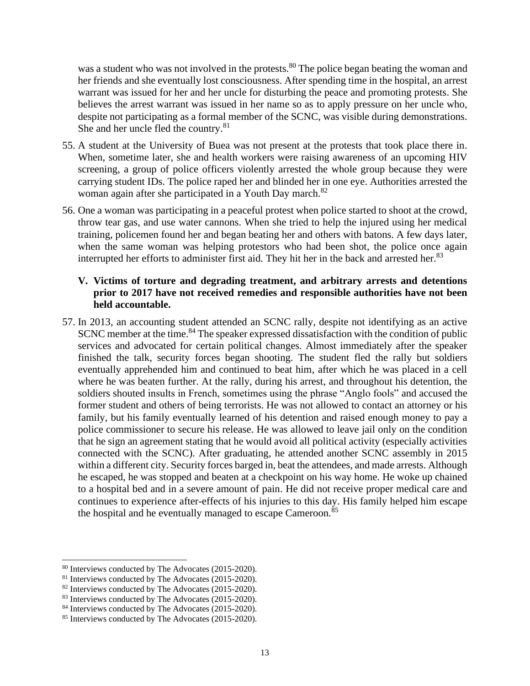was a student who was not involved in the protests.<sup>80</sup> The police began beating the woman and her friends and she eventually lost consciousness. After spending time in the hospital, an arrest warrant was issued for her and her uncle for disturbing the peace and promoting protests. She believes the arrest warrant was issued in her name so as to apply pressure on her uncle who, despite not participating as a formal member of the SCNC, was visible during demonstrations. She and her uncle fled the country.<sup>81</sup>

- 55. A student at the University of Buea was not present at the protests that took place there in. When, sometime later, she and health workers were raising awareness of an upcoming HIV screening, a group of police officers violently arrested the whole group because they were carrying student IDs. The police raped her and blinded her in one eye. Authorities arrested the woman again after she participated in a Youth Day march.<sup>82</sup>
- 56. One a woman was participating in a peaceful protest when police started to shoot at the crowd, throw tear gas, and use water cannons. When she tried to help the injured using her medical training, policemen found her and began beating her and others with batons. A few days later, when the same woman was helping protestors who had been shot, the police once again interrupted her efforts to administer first aid. They hit her in the back and arrested her.<sup>83</sup>

### **V. Victims of torture and degrading treatment, and arbitrary arrests and detentions prior to 2017 have not received remedies and responsible authorities have not been held accountable.**

57. In 2013, an accounting student attended an SCNC rally, despite not identifying as an active SCNC member at the time.<sup>84</sup> The speaker expressed dissatisfaction with the condition of public services and advocated for certain political changes. Almost immediately after the speaker finished the talk, security forces began shooting. The student fled the rally but soldiers eventually apprehended him and continued to beat him, after which he was placed in a cell where he was beaten further. At the rally, during his arrest, and throughout his detention, the soldiers shouted insults in French, sometimes using the phrase "Anglo fools" and accused the former student and others of being terrorists. He was not allowed to contact an attorney or his family, but his family eventually learned of his detention and raised enough money to pay a police commissioner to secure his release. He was allowed to leave jail only on the condition that he sign an agreement stating that he would avoid all political activity (especially activities connected with the SCNC). After graduating, he attended another SCNC assembly in 2015 within a different city. Security forces barged in, beat the attendees, and made arrests. Although he escaped, he was stopped and beaten at a checkpoint on his way home. He woke up chained to a hospital bed and in a severe amount of pain. He did not receive proper medical care and continues to experience after-effects of his injuries to this day. His family helped him escape the hospital and he eventually managed to escape Cameroon.<sup>85</sup>

<sup>80</sup> Interviews conducted by The Advocates (2015-2020).

<sup>81</sup> Interviews conducted by The Advocates (2015-2020).

<sup>&</sup>lt;sup>82</sup> Interviews conducted by The Advocates (2015-2020).

<sup>&</sup>lt;sup>83</sup> Interviews conducted by The Advocates (2015-2020).

<sup>&</sup>lt;sup>84</sup> Interviews conducted by The Advocates (2015-2020).

<sup>85</sup> Interviews conducted by The Advocates (2015-2020).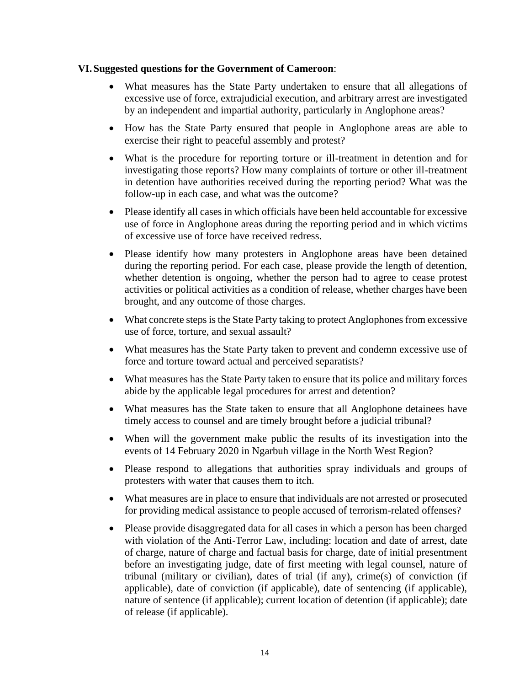#### **VI.Suggested questions for the Government of Cameroon**:

- What measures has the State Party undertaken to ensure that all allegations of excessive use of force, extrajudicial execution, and arbitrary arrest are investigated by an independent and impartial authority, particularly in Anglophone areas?
- How has the State Party ensured that people in Anglophone areas are able to exercise their right to peaceful assembly and protest?
- What is the procedure for reporting torture or ill-treatment in detention and for investigating those reports? How many complaints of torture or other ill-treatment in detention have authorities received during the reporting period? What was the follow-up in each case, and what was the outcome?
- Please identify all cases in which officials have been held accountable for excessive use of force in Anglophone areas during the reporting period and in which victims of excessive use of force have received redress.
- Please identify how many protesters in Anglophone areas have been detained during the reporting period. For each case, please provide the length of detention, whether detention is ongoing, whether the person had to agree to cease protest activities or political activities as a condition of release, whether charges have been brought, and any outcome of those charges.
- What concrete steps is the State Party taking to protect Anglophones from excessive use of force, torture, and sexual assault?
- What measures has the State Party taken to prevent and condemn excessive use of force and torture toward actual and perceived separatists?
- What measures has the State Party taken to ensure that its police and military forces abide by the applicable legal procedures for arrest and detention?
- What measures has the State taken to ensure that all Anglophone detainees have timely access to counsel and are timely brought before a judicial tribunal?
- When will the government make public the results of its investigation into the events of 14 February 2020 in Ngarbuh village in the North West Region?
- Please respond to allegations that authorities spray individuals and groups of protesters with water that causes them to itch.
- What measures are in place to ensure that individuals are not arrested or prosecuted for providing medical assistance to people accused of terrorism-related offenses?
- Please provide disaggregated data for all cases in which a person has been charged with violation of the Anti-Terror Law, including: location and date of arrest, date of charge, nature of charge and factual basis for charge, date of initial presentment before an investigating judge, date of first meeting with legal counsel, nature of tribunal (military or civilian), dates of trial (if any), crime(s) of conviction (if applicable), date of conviction (if applicable), date of sentencing (if applicable), nature of sentence (if applicable); current location of detention (if applicable); date of release (if applicable).